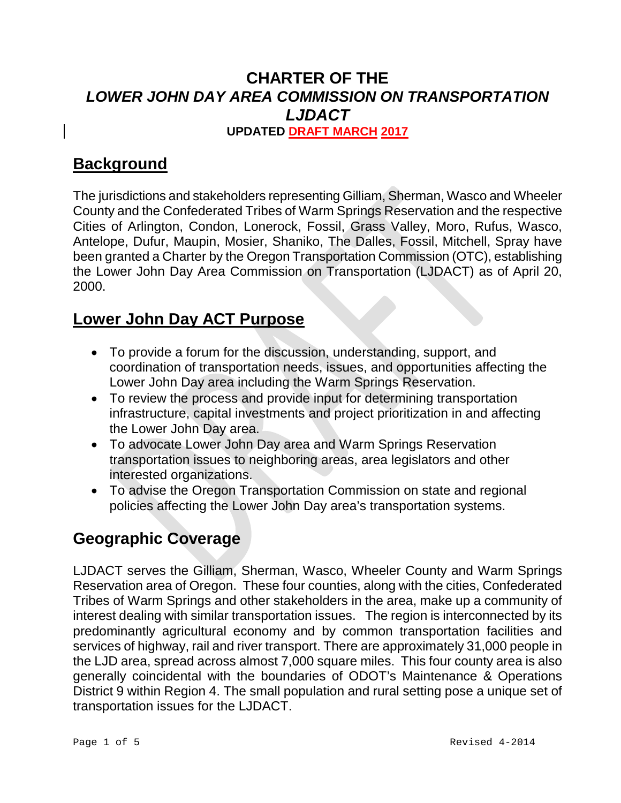# **CHARTER OF THE** *LOWER JOHN DAY AREA COMMISSION ON TRANSPORTATION LJDACT*

**UPDATED DRAFT MARCH 2017**

# **Background**

The jurisdictions and stakeholders representing Gilliam, Sherman, Wasco and Wheeler County and the Confederated Tribes of Warm Springs Reservation and the respective Cities of Arlington, Condon, Lonerock, Fossil, Grass Valley, Moro, Rufus, Wasco, Antelope, Dufur, Maupin, Mosier, Shaniko, The Dalles, Fossil, Mitchell, Spray have been granted a Charter by the Oregon Transportation Commission (OTC), establishing the Lower John Day Area Commission on Transportation (LJDACT) as of April 20, 2000.

## **Lower John Day ACT Purpose**

- To provide a forum for the discussion, understanding, support, and coordination of transportation needs, issues, and opportunities affecting the Lower John Day area including the Warm Springs Reservation.
- To review the process and provide input for determining transportation infrastructure, capital investments and project prioritization in and affecting the Lower John Day area.
- To advocate Lower John Day area and Warm Springs Reservation transportation issues to neighboring areas, area legislators and other interested organizations.
- To advise the Oregon Transportation Commission on state and regional policies affecting the Lower John Day area's transportation systems.

# **Geographic Coverage**

LJDACT serves the Gilliam, Sherman, Wasco, Wheeler County and Warm Springs Reservation area of Oregon. These four counties, along with the cities, Confederated Tribes of Warm Springs and other stakeholders in the area, make up a community of interest dealing with similar transportation issues. The region is interconnected by its predominantly agricultural economy and by common transportation facilities and services of highway, rail and river transport. There are approximately 31,000 people in the LJD area, spread across almost 7,000 square miles. This four county area is also generally coincidental with the boundaries of ODOT's Maintenance & Operations District 9 within Region 4. The small population and rural setting pose a unique set of transportation issues for the LJDACT.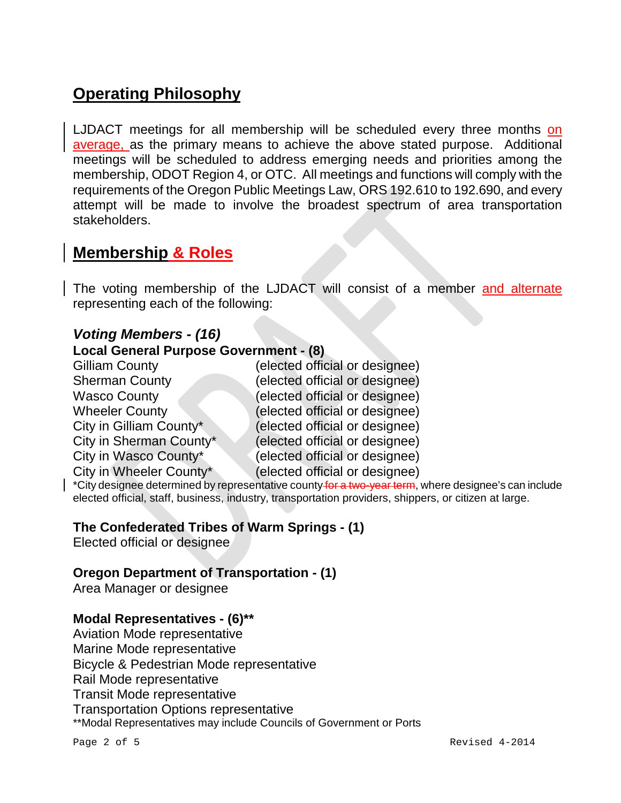# **Operating Philosophy**

LJDACT meetings for all membership will be scheduled every three months on average, as the primary means to achieve the above stated purpose. Additional meetings will be scheduled to address emerging needs and priorities among the membership, ODOT Region 4, or OTC. All meetings and functions will comply with the requirements of the Oregon Public Meetings Law, ORS 192.610 to 192.690, and every attempt will be made to involve the broadest spectrum of area transportation stakeholders.

## **Membership & Roles**

The voting membership of the LJDACT will consist of a member and alternate representing each of the following:

#### *Voting Members - (16)*

#### **Local General Purpose Government - (8)**

| <b>Gilliam County</b>   | (elected official or designee) |
|-------------------------|--------------------------------|
| <b>Sherman County</b>   | (elected official or designee) |
| <b>Wasco County</b>     | (elected official or designee) |
| <b>Wheeler County</b>   | (elected official or designee) |
| City in Gilliam County* | (elected official or designee) |
| City in Sherman County* | (elected official or designee) |
| City in Wasco County*   | (elected official or designee) |
| City in Wheeler County* | (elected official or designee) |
|                         |                                |

 $\mid$  \*City designee determined by representative county for a two-year term, where designee's can include elected official, staff, business, industry, transportation providers, shippers, or citizen at large.

#### **The Confederated Tribes of Warm Springs - (1)**

Elected official or designee

#### **Oregon Department of Transportation - (1)**

Area Manager or designee

#### **Modal Representatives - (6)\*\***

Aviation Mode representative Marine Mode representative Bicycle & Pedestrian Mode representative Rail Mode representative Transit Mode representative Transportation Options representative \*\*Modal Representatives may include Councils of Government or Ports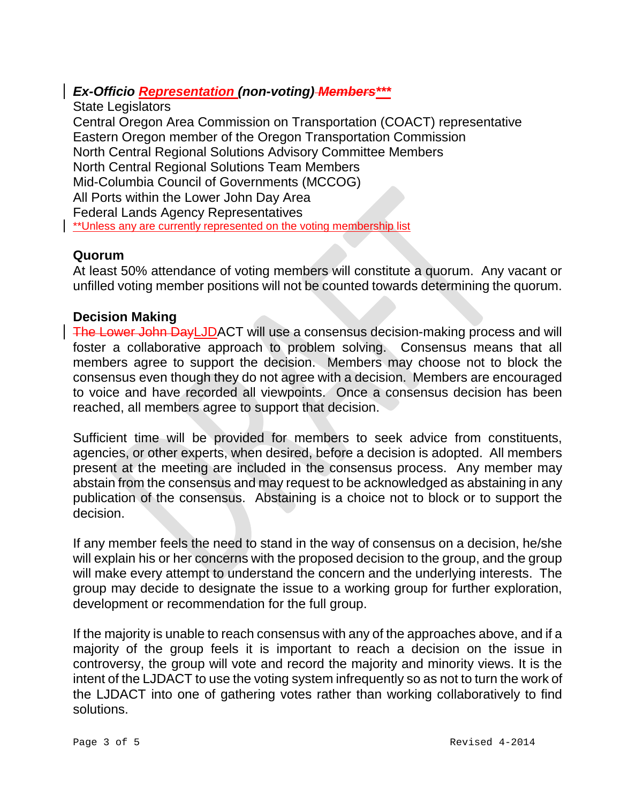### *Ex-Officio Representation (non-voting) Members\*\*\**

State Legislators Central Oregon Area Commission on Transportation (COACT) representative Eastern Oregon member of the Oregon Transportation Commission North Central Regional Solutions Advisory Committee Members North Central Regional Solutions Team Members Mid-Columbia Council of Governments (MCCOG) All Ports within the Lower John Day Area Federal Lands Agency Representatives \*\*Unless any are currently represented on the voting membership list

#### **Quorum**

At least 50% attendance of voting members will constitute a quorum. Any vacant or unfilled voting member positions will not be counted towards determining the quorum.

#### **Decision Making**

The Lower John DayLJDACT will use a consensus decision-making process and will foster a collaborative approach to problem solving. Consensus means that all members agree to support the decision. Members may choose not to block the consensus even though they do not agree with a decision. Members are encouraged to voice and have recorded all viewpoints. Once a consensus decision has been reached, all members agree to support that decision.

Sufficient time will be provided for members to seek advice from constituents, agencies, or other experts, when desired, before a decision is adopted. All members present at the meeting are included in the consensus process. Any member may abstain from the consensus and may request to be acknowledged as abstaining in any publication of the consensus. Abstaining is a choice not to block or to support the decision.

If any member feels the need to stand in the way of consensus on a decision, he/she will explain his or her concerns with the proposed decision to the group, and the group will make every attempt to understand the concern and the underlying interests. The group may decide to designate the issue to a working group for further exploration, development or recommendation for the full group.

If the majority is unable to reach consensus with any of the approaches above, and if a majority of the group feels it is important to reach a decision on the issue in controversy, the group will vote and record the majority and minority views. It is the intent of the LJDACT to use the voting system infrequently so as not to turn the work of the LJDACT into one of gathering votes rather than working collaboratively to find solutions.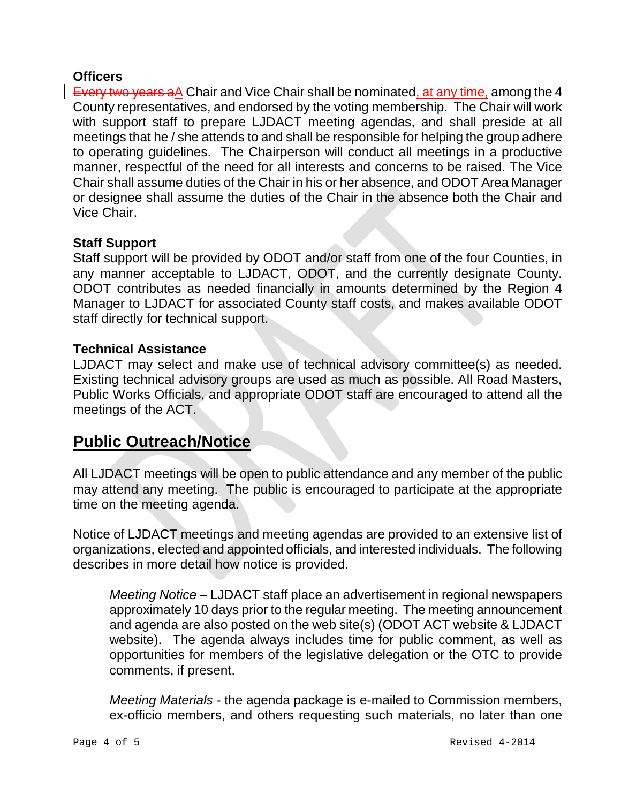#### **Officers**

Every two years aA Chair and Vice Chair shall be nominated, at any time, among the 4 County representatives, and endorsed by the voting membership. The Chair will work with support staff to prepare LJDACT meeting agendas, and shall preside at all meetings that he / she attends to and shall be responsible for helping the group adhere to operating guidelines. The Chairperson will conduct all meetings in a productive manner, respectful of the need for all interests and concerns to be raised. The Vice Chair shall assume duties of the Chair in his or her absence, and ODOT Area Manager or designee shall assume the duties of the Chair in the absence both the Chair and Vice Chair.

#### **Staff Support**

Staff support will be provided by ODOT and/or staff from one of the four Counties, in any manner acceptable to LJDACT, ODOT, and the currently designate County. ODOT contributes as needed financially in amounts determined by the Region 4 Manager to LJDACT for associated County staff costs, and makes available ODOT staff directly for technical support.

#### **Technical Assistance**

LJDACT may select and make use of technical advisory committee(s) as needed. Existing technical advisory groups are used as much as possible. All Road Masters, Public Works Officials, and appropriate ODOT staff are encouraged to attend all the meetings of the ACT.

### **Public Outreach/Notice**

All LJDACT meetings will be open to public attendance and any member of the public may attend any meeting. The public is encouraged to participate at the appropriate time on the meeting agenda.

Notice of LJDACT meetings and meeting agendas are provided to an extensive list of organizations, elected and appointed officials, and interested individuals. The following describes in more detail how notice is provided.

*Meeting Notice* – LJDACT staff place an advertisement in regional newspapers approximately 10 days prior to the regular meeting. The meeting announcement and agenda are also posted on the web site(s) (ODOT ACT website & LJDACT website). The agenda always includes time for public comment, as well as opportunities for members of the legislative delegation or the OTC to provide comments, if present.

*Meeting Materials* - the agenda package is e-mailed to Commission members, ex-officio members, and others requesting such materials, no later than one